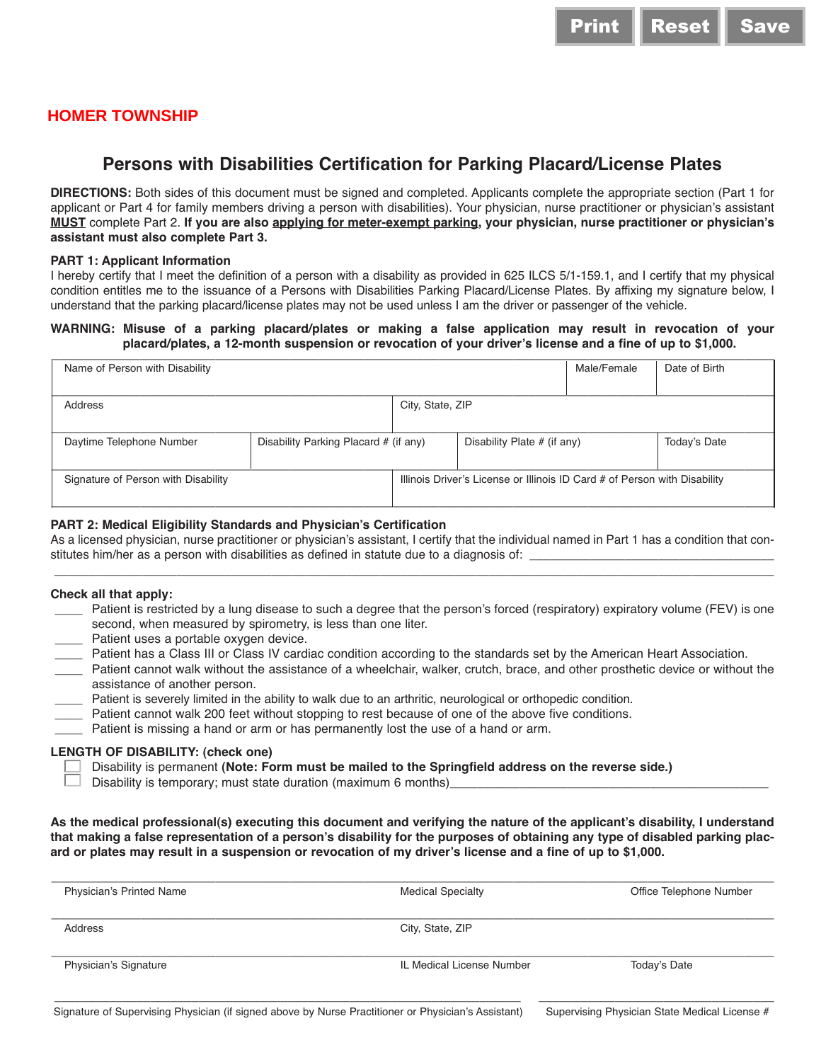# **HOMER TOWNSHIP**

# **Persons with Disabilities Certification for Parking Placard/License Plates**

**DIRECTIONS:** Both sides of this document must be signed and completed. Applicants complete the appropriate section (Part 1 for applicant or Part 4 for family members driving a person with disabilities). Your physician, nurse practitioner or physician's assistant **MUST** complete Part 2. **If you are also applying for meter-exempt parking, your physician, nurse practitioner or physician's assistant must also complete Part 3.** 

### **PART 1: Applicant Information**

I hereby certify that I meet the definition of a person with a disability as provided in 625 ILCS 5/1-159.1, and I certify that my physical condition entitles me to the issuance of a Persons with Disabilities Parking Placard/License Plates. By affixing my signature below, I understand that the parking placard/license plates may not be used unless I am the driver or passenger of the vehicle.

#### **WARNING: Misuse of a parking placard/plates or making a false application may result in revocation of your** placard/plates, a 12-month suspension or revocation of your driver's license and a fine of up to \$1,000.

| Name of Person with Disability      |                                       |                                                                           |                             | Male/Female | Date of Birth |
|-------------------------------------|---------------------------------------|---------------------------------------------------------------------------|-----------------------------|-------------|---------------|
| Address                             |                                       | City, State, ZIP                                                          |                             |             |               |
| Daytime Telephone Number            | Disability Parking Placard # (if any) |                                                                           | Disability Plate # (if any) |             | Today's Date  |
| Signature of Person with Disability |                                       | Illinois Driver's License or Illinois ID Card # of Person with Disability |                             |             |               |

### **PART 2: Medical Eligibility Standards and Physician's Certification**

As a licensed physician, nurse practitioner or physician's assistant, I certify that the individual named in Part 1 has a condition that constitutes him/her as a person with disabilities as defined in statute due to a diagnosis of: \_\_\_\_\_\_\_\_\_\_\_\_\_\_\_\_\_\_\_\_\_\_\_\_\_\_\_\_\_\_\_\_\_\_\_\_\_\_\_\_\_\_\_\_\_\_\_\_\_\_\_\_\_\_\_\_\_\_\_\_\_\_\_\_\_\_\_\_\_\_\_\_\_\_\_\_\_\_\_\_\_\_\_\_\_\_\_\_\_\_\_\_\_\_\_\_\_\_\_\_\_\_\_\_\_\_

### **Check all that apply:**

- Patient is restricted by a lung disease to such a degree that the person's forced (respiratory) expiratory volume (FEV) is one second, when measured by spirometry, is less than one liter.
- \_\_\_\_ Patient uses a portable oxygen device.
- \_\_\_\_ Patient has a Class III or Class IV cardiac condition according to the standards set by the American Heart Association.
- \_\_\_\_ Patient cannot walk without the assistance of a wheelchair, walker, crutch, brace, and other prosthetic device or without the assistance of another person.
- Patient is severely limited in the ability to walk due to an arthritic, neurological or orthopedic condition.
- Patient cannot walk 200 feet without stopping to rest because of one of the above five conditions.
- Patient is missing a hand or arm or has permanently lost the use of a hand or arm.

### **LENGTH OF DISABILITY: (check one)**

- Disability is permanent **(Note: Form must be mailed to the Springfield address on the reverse side.)**
	- Disability is temporary; must state duration (maximum 6 months)

**As the medical professional(s) executing this document and verifying the nature of the applicant's disability, I understand that making a false representation of a person's disability for the purposes of obtaining any type of disabled parking placard or plates may result in a suspension or revocation of my driver's license and a fine of up to \$1,000.**

| Physician's Printed Name | <b>Medical Specialty</b>  | Office Telephone Number |  |
|--------------------------|---------------------------|-------------------------|--|
| Address                  | City, State, ZIP          |                         |  |
| Physician's Signature    | IL Medical License Number | Today's Date            |  |
|                          |                           |                         |  |